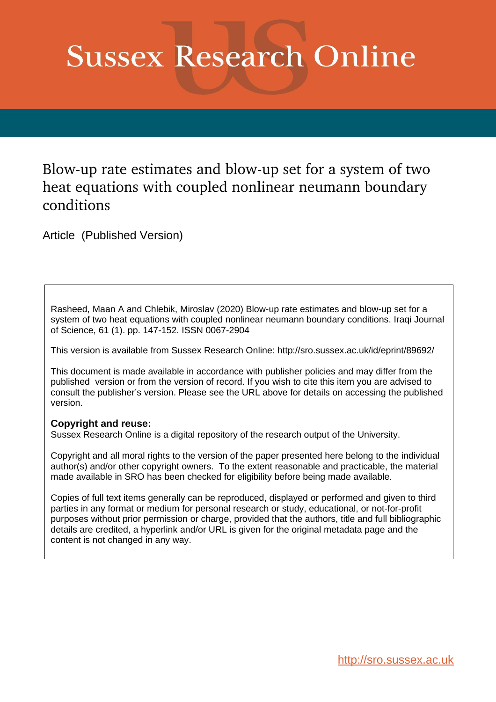# **Sussex Research Online**

# Blow-up rate estimates and blow-up set for a system of two heat equations with coupled nonlinear neumann boundary conditions

Article (Published Version)

Rasheed, Maan A and Chlebik, Miroslav (2020) Blow-up rate estimates and blow-up set for a system of two heat equations with coupled nonlinear neumann boundary conditions. Iraqi Journal of Science, 61 (1). pp. 147-152. ISSN 0067-2904

This version is available from Sussex Research Online: http://sro.sussex.ac.uk/id/eprint/89692/

This document is made available in accordance with publisher policies and may differ from the published version or from the version of record. If you wish to cite this item you are advised to consult the publisher's version. Please see the URL above for details on accessing the published version.

### **Copyright and reuse:**

Sussex Research Online is a digital repository of the research output of the University.

Copyright and all moral rights to the version of the paper presented here belong to the individual author(s) and/or other copyright owners. To the extent reasonable and practicable, the material made available in SRO has been checked for eligibility before being made available.

Copies of full text items generally can be reproduced, displayed or performed and given to third parties in any format or medium for personal research or study, educational, or not-for-profit purposes without prior permission or charge, provided that the authors, title and full bibliographic details are credited, a hyperlink and/or URL is given for the original metadata page and the content is not changed in any way.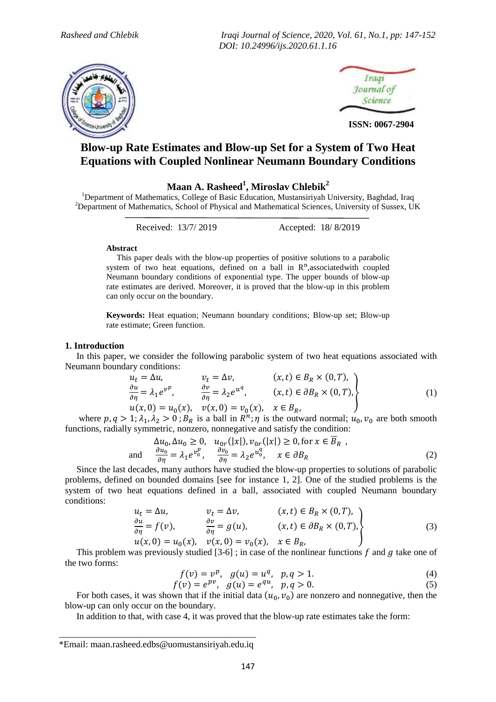*Rasheed and Chlebik Iraqi Journal of Science, 2020, Vol. 61, No.1, pp: 147-152 DOI: 10.24996/ijs.2020.61.1.16*





 **ISSN: 0067-2904**

## **Blow-up Rate Estimates and Blow-up Set for a System of Two Heat Equations with Coupled Nonlinear Neumann Boundary Conditions**

**Maan A. Rasheed<sup>1</sup> , Miroslav Chlebik<sup>2</sup>**

<sup>1</sup>Department of Mathematics, College of Basic Education, Mustansiriyah University, Baghdad, Iraq <sup>2</sup>Department of Mathematics, School of Physical and Mathematical Sciences, University of Sussex, UK

Received: 13/7/ 2019 Accepted: 18/ 8/2019

#### **Abstract**

 This paper deals with the blow-up properties of positive solutions to a parabolic system of two heat equations, defined on a ball in  $R<sup>n</sup>$ , associated with coupled Neumann boundary conditions of exponential type. The upper bounds of blow-up rate estimates are derived. Moreover, it is proved that the blow-up in this problem can only occur on the boundary.

**Keywords:** Heat equation; Neumann boundary conditions; Blow-up set; Blow-up rate estimate; Green function.

#### **1. Introduction**

 In this paper, we consider the following parabolic system of two heat equations associated with Neumann boundary conditions:

$$
u_t = \Delta u, \t v_t = \Delta v, \t (x, t) \in B_R \times (0, T),
$$
  
\n
$$
\frac{\partial u}{\partial \eta} = \lambda_1 e^{v^p}, \t \frac{\partial v}{\partial \eta} = \lambda_2 e^{u^q}, \t (x, t) \in \partial B_R \times (0, T),
$$
  
\n
$$
u(x, 0) = u_0(x), \t v(x, 0) = v_0(x), \t x \in B_R,
$$
\n(1)

where  $p, q > 1$ ;  $\lambda_1, \lambda_2 > 0$ ;  $B_R$  is a ball in  $R^n$ ;  $\eta$  is the outward normal;  $u_0, v_0$  are both smooth functions, radially symmetric, nonzero, nonnegative and satisfy the condition:

$$
\Delta u_0, \Delta u_0 \ge 0, \quad u_{0r}(|x|), v_{0r}(|x|) \ge 0, \text{ for } x \in \overline{B}_R \text{ ,}
$$
\n
$$
\frac{\partial u_0}{\partial \eta} = \lambda_1 e^{v_0^p}, \quad \frac{\partial v_0}{\partial \eta} = \lambda_2 e^{u_0^q}, \quad x \in \partial B_R \tag{2}
$$

 Since the last decades, many authors have studied the blow-up properties to solutions of parabolic problems, defined on bounded domains [see for instance 1, 2]. One of the studied problems is the system of two heat equations defined in a ball, associated with coupled Neumann boundary conditions:

$$
u_t = \Delta u, \qquad v_t = \Delta v, \qquad (x, t) \in B_R \times (0, T),
$$
  
\n
$$
\frac{\partial u}{\partial \eta} = f(v), \qquad \frac{\partial v}{\partial \eta} = g(u), \qquad (x, t) \in \partial B_R \times (0, T),
$$
  
\n
$$
u(x, 0) = u_0(x), \quad v(x, 0) = v_0(x), \quad x \in B_R,
$$
\n(3)

This problem was previously studied  $[3-6]$ ; in case of the nonlinear functions f and q take one of the two forms:

$$
f(v) = v^p, \quad g(u) = u^q, \quad p, q > 1.
$$
 (4)

$$
f(v) = e^{pv}, \quad g(u) = e^{qu}, \quad p, q > 0.
$$
 (5)

For both cases, it was shown that if the initial data  $(u_0, v_0)$  are nonzero and nonnegative, then the blow-up can only occur on the boundary.

In addition to that, with case 4, it was proved that the blow-up rate estimates take the form:

\_\_\_\_\_\_\_\_\_\_\_\_\_\_\_\_\_\_\_\_\_\_\_\_\_\_\_\_\_\_\_\_\_\_\_\_\_\_\_\_\_\_\_ \*Email: [maan.rasheed.edbs@uomustansiriyah.edu.iq](mailto:maan.rasheed.edbs@uomustansiriyah.edu.iq)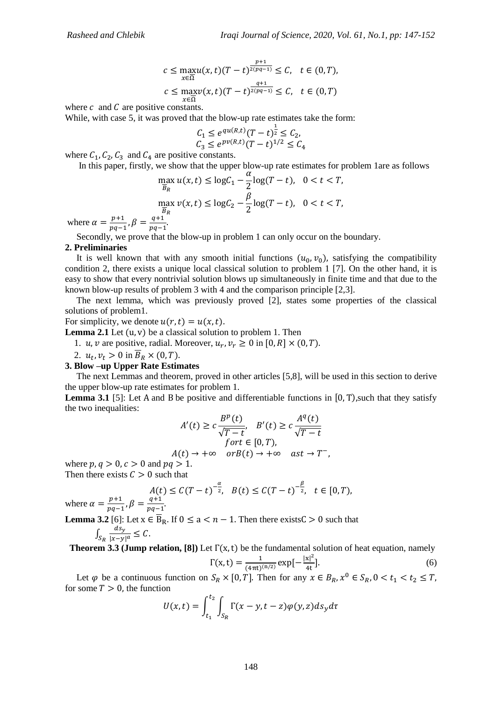$$
c \le \max_{x \in \overline{\Omega}} u(x, t)(T - t)^{\frac{p+1}{2(pq-1)}} \le C, \quad t \in (0, T),
$$
  

$$
c \le \max_{x \in \overline{\Omega}} v(x, t)(T - t)^{\frac{q+1}{2(pq-1)}} \le C, \quad t \in (0, T)
$$

where  $c$  and  $C$  are positive constants.

While, with case 5, it was proved that the blow-up rate estimates take the form:

$$
C_1 \le e^{qu(R,t)}(T-t)^{\frac{1}{2}} \le C_2, C_3 \le e^{pv(R,t)}(T-t)^{1/2} \le C_4
$$

where  $C_1$ ,  $C_2$ ,  $C_3$  and  $C_4$  are positive constants.

In this paper, firstly, we show that the upper blow-up rate estimates for problem 1are as follows

$$
\max_{\overline{B}_R} u(x,t) \le \log C_1 - \frac{\alpha}{2} \log(T-t), \quad 0 < t < T,
$$
\n
$$
\max_{\overline{B}_R} v(x,t) \le \log C_2 - \frac{\beta}{2} \log(T-t), \quad 0 < t < T,
$$

where  $\alpha = \frac{p}{m}$  $\frac{p+1}{pq-1}, \beta = \frac{q}{pq}$  $\frac{q+1}{pq-1}$ 

Secondly, we prove that the blow-up in problem 1 can only occur on the boundary.

#### **2. Preliminaries**

It is well known that with any smooth initial functions  $(u_0, v_0)$ , satisfying the compatibility condition 2, there exists a unique local classical solution to problem 1 [7]. On the other hand, it is easy to show that every nontrivial solution blows up simultaneously in finite time and that due to the known blow-up results of problem 3 with 4 and the comparison principle [2,3].

 The next lemma, which was previously proved [2], states some properties of the classical solutions of problem1.

For simplicity, we denote  $u(r, t) = u(x, t)$ .

**Lemma 2.1** Let  $(u, v)$  be a classical solution to problem 1. Then

1. u, v are positive, radial. Moreover,  $u_r$ ,  $v_r \ge 0$  in [0, R]  $\times$  (0, T).

2.  $u_t$ ,  $v_t > 0$  in  $B_R \times (0, T)$ .

#### **3. Blow –up Upper Rate Estimates**

 The next Lemmas and theorem, proved in other articles [5,8], will be used in this section to derive the upper blow-up rate estimates for problem 1.

**Lemma 3.1** [5]: Let A and B be positive and differentiable functions in  $[0, T)$ , such that they satisfy the two inequalities:

$$
A'(t) \ge c \frac{B^p(t)}{\sqrt{T-t}}, \quad B'(t) \ge c \frac{A^q(t)}{\sqrt{T-t}}
$$
  
for  $t \in [0, T)$ ,

$$
A(t) \to +\infty \quad or B(t) \to +\infty \quad ast \to T^-
$$

where  $p, q > 0, c > 0$  and  $pq > 1$ . Then there exists  $\mathcal{C} > 0$  such that

$$
A(t) \le C(T-t)^{-\frac{\alpha}{2}}, \quad B(t) \le C(T-t)^{-\frac{\beta}{2}}, \quad t \in [0, T),
$$

where  $\alpha = \frac{p}{m}$  $\frac{p+1}{pq-1}, \beta = \frac{q}{pq}$  $\frac{q+1}{pq-1}$ .

**Lemma 3.2** [6]: Let  $x \in B_R$ . If  $0 \le a < n - 1$ . Then there exists  $C > 0$  such that  $\int_{S_R} \frac{d}{|x|}$  $|x-y|^a$ 

**Theorem 3.3 (Jump relation, [8])** Let  $\Gamma(x, t)$  be the fundamental solution of heat equation, namely

$$
\Gamma(x,t) = \frac{1}{(4\pi t)^{(n/2)}} \exp[-\frac{|x|^2}{4t}].
$$
 (6)

Let  $\varphi$  be a continuous function on  $S_R \times [0,T]$ . Then for any  $x \in B_R$ ,  $x^0$ for some  $T > 0$ , the function

$$
U(x,t) = \int_{t_1}^{t_2} \int_{S_R} \Gamma(x-y,t-z) \varphi(y,z) ds_y d\tau
$$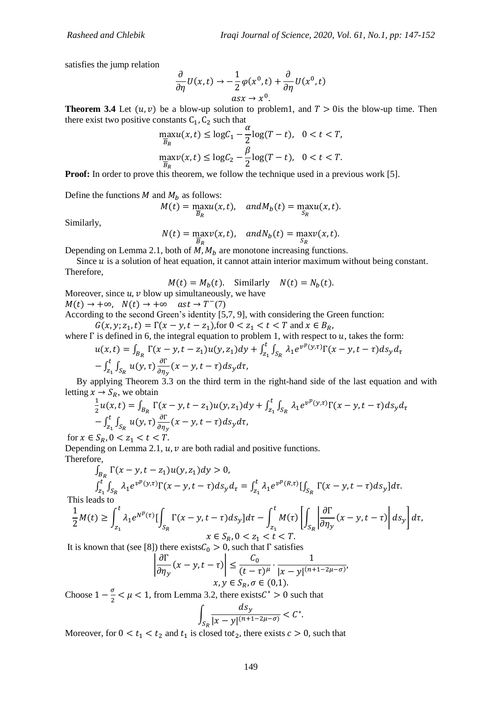satisfies the jump relation

$$
\frac{\partial}{\partial \eta} U(x,t) \to -\frac{1}{2} \varphi(x^0,t) + \frac{\partial}{\partial \eta} U(x^0,t)
$$
  
as  $x \to x^0$ .

**Theorem 3.4** Let  $(u, v)$  be a blow-up solution to problem1, and  $T > 0$  is the blow-up time. Then there exist two positive constants  $C_1$ ,  $C_2$  such that

$$
\max_{\overline{B}_R} u(x,t) \le \log C_1 - \frac{\alpha}{2} \log(T-t), \quad 0 < t < T,
$$
\n
$$
\max_{\overline{B}_R} v(x,t) \le \log C_2 - \frac{\beta}{2} \log(T-t), \quad 0 < t < T.
$$

**Proof:** In order to prove this theorem, we follow the technique used in a previous work [5].

Define the functions  $M$  and  $M_h$  as follows:

$$
M(t) = \max_{\overline{B}_R} u(x, t), \quad and M_b(t) = \max_{S_R} u(x, t).
$$

Similarly,

$$
N(t) = \max_{\overline{B}_R} v(x, t), \quad and N_b(t) = \max_{S_R} v(x, t).
$$

Depending on Lemma 2.1, both of  $M$ ,  $M_b$  are monotone increasing functions.

Since  $u$  is a solution of heat equation, it cannot attain interior maximum without being constant. Therefore,

$$
M(t) = M_b(t)
$$
. Similarly  $N(t) = N_b(t)$ .

Moreover, since  $u, v$  blow up simultaneously, we have

 $M(t) \rightarrow +\infty$ ,  $N(t) \rightarrow +\infty$  ast  $\rightarrow T^{-}(7)$ 

According to the second Green's identity [5,7, 9], with considering the Green function:  $G(x, y; z_1, t) = \Gamma(x - y, t - z_1)$ , for  $0 < z_1 < t < T$  and  $x \in B_R$ ,

where  $\Gamma$  is defined in 6, the integral equation to problem 1, with respect to  $u$ , takes the form:

$$
u(x,t) = \int_{B_R} \Gamma(x - y, t - z_1) u(y, z_1) dy + \int_{z_1}^t \int_{S_R} \lambda_1 e^{v^p(y,\tau)} \Gamma(x - y, t - \tau) ds_y d_\tau
$$
  
-  $\int_{z_1}^t \int_{S_R} u(y,\tau) \frac{\partial \Gamma}{\partial \eta_y} (x - y, t - \tau) ds_y d\tau$ ,

 By applying Theorem 3.3 on the third term in the right-hand side of the last equation and with letting  $x \rightarrow S_R$ , we obtain

$$
\frac{1}{2}u(x,t) = \int_{B_R} \Gamma(x-y,t-z_1)u(y,z_1)dy + \int_{z_1}^t \int_{S_R} \lambda_1 e^{v^p(y,\tau)} \Gamma(x-y,t-\tau)ds_y d\tau \n- \int_{z_1}^t \int_{S_R} u(y,\tau) \frac{\partial \Gamma}{\partial \eta_y}(x-y,t-\tau)ds_y d\tau,
$$
\nfor  $x \in S_R, 0 < z_1 < t < T$ .

Depending on Lemma 2.1,  $u, v$  are both radial and positive functions. Therefore,

$$
\int_{B_R} \Gamma(x - y, t - z_1) u(y, z_1) dy > 0,
$$
\n
$$
\int_{z_1}^t \int_{S_R} \lambda_1 e^{v^p(y, \tau)} \Gamma(x - y, t - \tau) ds_y d_\tau = \int_{z_1}^t \lambda_1 e^{v^p(R, \tau)} [\int_{S_R} \Gamma(x - y, t - \tau) ds_y] d\tau.
$$
\nand so

This leads to

$$
\frac{1}{2}M(t) \ge \int_{z_1}^t \lambda_1 e^{N^p(\tau)} \left[ \int_{S_R} \Gamma(x-y,t-\tau) ds_y \right] d\tau - \int_{z_1}^t M(\tau) \left[ \int_{S_R} \left| \frac{\partial \Gamma}{\partial \eta_y}(x-y,t-\tau) \right| ds_y \right] d\tau,
$$
  

$$
x \in S_R, 0 < z_1 < t < T.
$$

It is known that (see [8]) there exists  $C_0 > 0$ , such that  $\Gamma$  satisfies

$$
\left| \frac{\partial \Gamma}{\partial \eta_y} (x - y, t - \tau) \right| \le \frac{C_0}{(t - \tau)^\mu} \cdot \frac{1}{|x - y|^{(n + 1 - 2\mu - \sigma)'}}
$$
  

$$
x, y \in S_R, \sigma \in (0, 1).
$$

Choose  $1-\frac{\sigma}{2}$  $\frac{\sigma}{2} < \mu < 1$ , from Lemma 3.2, there exists  $C^* > 0$  such that

$$
\int_{S_R} \frac{ds_y}{|x-y|^{(n+1-2\mu-\sigma)}} < C^*.
$$

Moreover, for  $0 < t_1 < t_2$  and  $t_1$  is closed to  $t_2$ , there exists  $c > 0$ , such that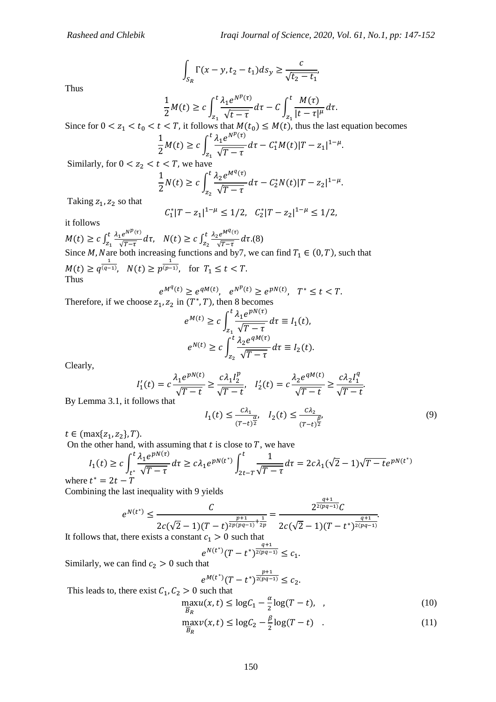$$
\int_{S_R} \Gamma(x - y, t_2 - t_1) ds_y \ge \frac{c}{\sqrt{t_2 - t_1}}
$$

Thus

$$
\frac{1}{2}M(t) \geq c \int_{z_1}^t \frac{\lambda_1 e^{N^p(\tau)}}{\sqrt{t-\tau}} d\tau - C \int_{z_1}^t \frac{M(\tau)}{|t-\tau|^{\mu}} d\tau.
$$

Since for  $0 < z_1 < t_0 < t < T$ , it follows that  $M(t_0) \leq M(t)$ , thus the last equation becomes

$$
\frac{1}{2}M(t) \ge c \int_{z_1}^t \frac{\lambda_1 e^{N^p(\tau)}}{\sqrt{T-\tau}} d\tau - C_1^* M(t) |T-z_1|^{1-\mu}.
$$

Similarly, for  $0 < z_2 < t < T$ , we have

$$
\frac{1}{2}N(t) \ge c \int_{z_2}^t \frac{\lambda_2 e^{M^q(\tau)}}{\sqrt{T-\tau}} d\tau - C_2^* N(t) |T-z_2|^{1-\mu}.
$$

Taking  $z_1$ ,  $z_2$  so that

$$
C_1^*|T - z_1|^{1-\mu} \le 1/2
$$
,  $C_2^*|T - z_2|^{1-\mu} \le 1/2$ ,

it follows

 $M(t) \geq c \int_{z}^{t}$ z  $\lambda_1 e^{N^p(\tau)}$  $\frac{1}{\sqrt{T-\tau}} \frac{e^{N\tau(t)}}{dt} d\tau$ ,  $N(t) \geq c \int_{z}^{t}$ z  $\lambda_2 e^{M^q(\tau)}$  $\frac{d^{2}e}{\sqrt{T-\tau}}d\tau.(8)$ Since M, Nare both increasing functions and by7, we can find  $T_1 \in (0, T)$ , such that  $M(t) \geq q^{\frac{1}{(q-1)}}$  $\frac{1}{(q-1)}$ ,  $N(t) \ge p^{\frac{1}{(p-1)}}$  $\overline{(p-1)}$ , for Thus

$$
e^{M^{q}(t)} \ge e^{qM(t)}, \quad e^{N^{p}(t)} \ge e^{pN(t)}, \quad T^{*} \le t < T.
$$

Therefore, if we choose  $z_1, z_2$  in  $(T^*, T)$ , then 8 becomes

$$
e^{M(t)} \ge c \int_{z_1}^t \frac{\lambda_1 e^{pN(\tau)}}{\sqrt{T-\tau}} d\tau \equiv I_1(t),
$$
  

$$
e^{N(t)} \ge c \int_{z_2}^t \frac{\lambda_2 e^{qM(\tau)}}{\sqrt{T-\tau}} d\tau \equiv I_2(t).
$$

Clearly,

$$
I'_1(t) = c \frac{\lambda_1 e^{pN(t)}}{\sqrt{T-t}} \ge \frac{c \lambda_1 I_2^p}{\sqrt{T-t}}, \quad I'_2(t) = c \frac{\lambda_2 e^{qN(t)}}{\sqrt{T-t}} \ge \frac{c \lambda_2 I_1^q}{\sqrt{T-t}}.
$$

By Lemma 3.1, it follows that

$$
I_1(t) \le \frac{c\lambda_1}{(T-t)^{\frac{\alpha}{2}}}, \quad I_2(t) \le \frac{c\lambda_2}{(T-t)^{\frac{\beta}{2}}},\tag{9}
$$

 $a+1$ 

.

 $t \in$  (max $\{z_1, z_2\}$ , T).

On the other hand, with assuming that  $t$  is close to  $T$ , we have

$$
I_1(t) \ge c \int_{t^*}^t \frac{\lambda_1 e^{pN(\tau)}}{\sqrt{T-\tau}} d\tau \ge c \lambda_1 e^{pN(t^*)} \int_{2t-T}^t \frac{1}{\sqrt{T-\tau}} d\tau = 2c \lambda_1 (\sqrt{2}-1) \sqrt{T-t} e^{pN(t^*)}
$$

where  $t^*$ 

Combining the last inequality with 9 yields

$$
e^{N(t^*)} \le \frac{C}{2c(\sqrt{2}-1)(T-t)^{\frac{p+1}{2p(pq-1)}+\frac{1}{2p}}} = \frac{2^{\frac{p}{2(pq-1)}}C}{2c(\sqrt{2}-1)(T-t^*)^{\frac{q+1}{2(pq-1)}}}
$$

It follows that, there exists a constant  $c_1 > 0$  such that

$$
e^{N(t^*)}(T-t^*)^{\frac{q+1}{2(pq-1)}} \leq c_1.
$$

Similarly, we can find  $c_2 > 0$  such that

$$
e^{M(t^*)}(T-t^*)^{\frac{p+1}{2(pq-1)}} \leq c_2.
$$

This leads to, there exist  $C_1, C_2 > 0$  such that

$$
\max_{\overline{B}_R} u(x,t) \le \log C_1 - \frac{\alpha}{2} \log(T-t), \quad , \tag{10}
$$

$$
\max_{\overline{B}_R} \mathcal{V}(x, t) \le \log C_2 - \frac{\beta}{2} \log(T - t) \quad . \tag{11}
$$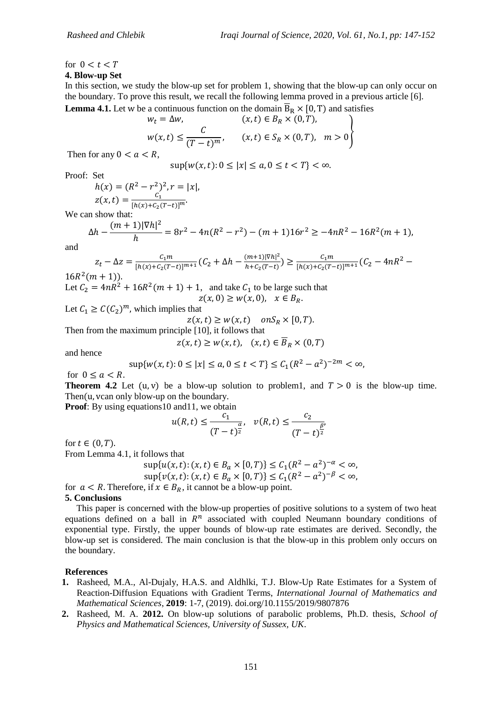## for  $0 < t < T$

**4. Blow-up Set**

In this section, we study the blow-up set for problem 1, showing that the blow-up can only occur on the boundary. To prove this result, we recall the following lemma proved in a previous article [6]. **Lemma 4.1.** Let w be a continuous function on the domain  $\overline{R}_R \times [0, T]$  and satisfies

**10.11.1** Let *w* be a continuous function on the domain 
$$
B_R \times [0, T]
$$
 and satisfy  $w_t = \Delta w$ ,  $(x, t) \in B_R \times (0, T)$ ,

$$
w(x,t) \leq \frac{C}{(T-t)^m}, \qquad (x,t) \in S_R \times (0,T), \quad m > 0
$$

Then for any  $0 < a < R$ ,

$$
\sup\{w(x,t):0\leq|x|\leq a,0\leq t
$$

Proof: Set

$$
h(x) = (R^2 - r^2)^2, r = |x|,
$$
  

$$
z(x, t) = \frac{c_1}{[h(x) + c_2(T - t)]^m}.
$$

We can show that:

$$
\Delta h - \frac{(m+1)|\nabla h|^2}{h} = 8r^2 - 4n(R^2 - r^2) - (m+1)16r^2 \ge -4nR^2 - 16R^2(m+1),
$$

and

$$
z_t - \Delta z = \frac{c_1 m}{[h(x) + c_2 (T - t)]^{m+1}} (C_2 + \Delta h - \frac{(m+1)|\nabla h|^2}{h + c_2 (T - t)}) \ge \frac{c_1 m}{[h(x) + c_2 (T - t)]^{m+1}} (C_2 - 4nR^2 -
$$

 $16R^2(m+1)$ ).

Let  $C_2 = 4nR^2 + 16R^2(m+1) + 1$ , and take  $C_1$  to be large such that  $z(x, 0) \geq w(x, 0), \quad x \in B_R.$ 

Let  $C_1 \ge C (C_2)^m$ , which implies that

 $z(x, t) \geq w(x, t)$  on  $S_R \times [0, T)$ .

Then from the maximum principle [10], it follows that

$$
z(x,t) \ge w(x,t), \quad (x,t) \in \overline{B}_R \times (0,T)
$$

and hence

$$
\sup\{w(x,t):0\leq |x|\leq a, 0\leq t
$$

for  $0 \le a < R$ .

**Theorem 4.2** Let  $(u, v)$  be a blow-up solution to problem1, and  $T > 0$  is the blow-up time. Then( $u$ , vcan only blow-up on the boundary.

**Proof:** By using equations10 and11, we obtain

$$
u(R,t) \le \frac{c_1}{(T-t)^{\frac{\alpha}{2}}}, \quad v(R,t) \le \frac{c_2}{(T-t)^{\frac{\beta}{2}}}
$$

for  $t \in (0, T)$ .

From Lemma 4.1, it follows that

$$
\sup \{ u(x,t) : (x,t) \in B_a \times [0,T) \} \le C_1 (R^2 - a^2)^{-\alpha} < \infty,
$$
\n
$$
\sup \{ v(x,t) : (x,t) \in B_a \times [0,T) \} \le C_1 (R^2 - a^2)^{-\beta} < \infty,
$$

for  $a < R$ . Therefore, if  $x \in B_R$ , it cannot be a blow-up point.

#### **5. Conclusions**

 This paper is concerned with the blow-up properties of positive solutions to a system of two heat equations defined on a ball in  $R<sup>n</sup>$  associated with coupled Neumann boundary conditions of exponential type. Firstly, the upper bounds of blow-up rate estimates are derived. Secondly, the blow-up set is considered. The main conclusion is that the blow-up in this problem only occurs on the boundary.

#### **References**

- **1.** Rasheed, M.A., Al-Dujaly, H.A.S. and Aldhlki, T.J. Blow-Up Rate Estimates for a System of Reaction-Diffusion Equations with Gradient Terms, *International Journal of Mathematics and Mathematical Sciences*, **2019**: 1-7, (2019). doi.org/10.1155/2019/9807876
- **2.** Rasheed, M. A. **2012.** On blow-up solutions of parabolic problems, Ph.D. thesis, *School of Physics and Mathematical Sciences, University of Sussex, UK*.